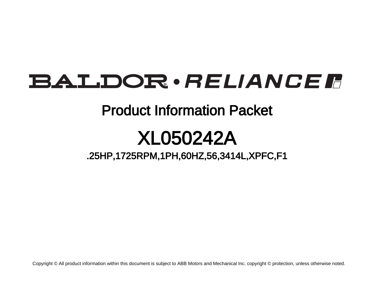# **BALDOR** · RELIANCE F

# Product Information Packet

# XL050242A

.25HP,1725RPM,1PH,60HZ,56,3414L,XPFC,F1

Copyright © All product information within this document is subject to ABB Motors and Mechanical Inc. copyright © protection, unless otherwise noted.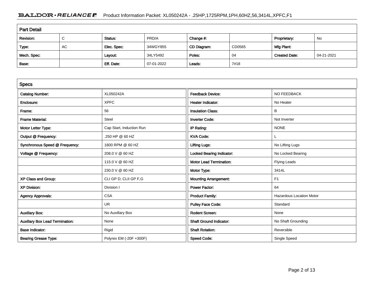# BALDOR · RELIANCE F Product Information Packet: XL050242A - .25HP,1725RPM,1PH,60HZ,56,3414L,XPFC,F1

| <b>Part Detail</b> |             |             |            |             |        |                      |            |  |
|--------------------|-------------|-------------|------------|-------------|--------|----------------------|------------|--|
| Revision:          | $\sim$<br>◡ | Status:     | PRD/A      | Change #:   |        | Proprietary:         | No         |  |
| Type:              | AC          | Elec. Spec: | 34WGY855   | CD Diagram: | CD0565 | Mfg Plant:           |            |  |
| Mech. Spec:        |             | Layout:     | 34LY5492   | Poles:      | 04     | <b>Created Date:</b> | 04-21-2021 |  |
| Base:              |             | Eff. Date:  | 07-01-2022 | Leads:      | 7#18   |                      |            |  |

| <b>Specs</b>                           |                          |                                  |                                 |
|----------------------------------------|--------------------------|----------------------------------|---------------------------------|
| <b>Catalog Number:</b>                 | XL050242A                | <b>Feedback Device:</b>          | NO FEEDBACK                     |
| Enclosure:                             | <b>XPFC</b>              | <b>Heater Indicator:</b>         | No Heater                       |
| Frame:                                 | 56                       | <b>Insulation Class:</b>         | B                               |
| <b>Frame Material:</b>                 | Steel                    | <b>Inverter Code:</b>            | Not Inverter                    |
| Motor Letter Type:                     | Cap Start, Induction Run | IP Rating:                       | <b>NONE</b>                     |
| Output @ Frequency:                    | .250 HP @ 60 HZ          | <b>KVA Code:</b>                 | L.                              |
| Synchronous Speed @ Frequency:         | 1800 RPM @ 60 HZ         | <b>Lifting Lugs:</b>             | No Lifting Lugs                 |
| Voltage @ Frequency:                   | 208.0 V @ 60 HZ          | <b>Locked Bearing Indicator:</b> | No Locked Bearing               |
|                                        | 115.0 V @ 60 HZ          | <b>Motor Lead Termination:</b>   | <b>Flying Leads</b>             |
|                                        | 230.0 V @ 60 HZ          | Motor Type:                      | 3414L                           |
| XP Class and Group:                    | CLI GP D; CLII GP F,G    | <b>Mounting Arrangement:</b>     | F <sub>1</sub>                  |
| <b>XP Division:</b>                    | Division I               | <b>Power Factor:</b>             | 64                              |
| <b>Agency Approvals:</b>               | <b>CSA</b>               | <b>Product Family:</b>           | <b>Hazardous Location Motor</b> |
|                                        | <b>UR</b>                | <b>Pulley Face Code:</b>         | Standard                        |
| <b>Auxillary Box:</b>                  | No Auxillary Box         | <b>Rodent Screen:</b>            | None                            |
| <b>Auxillary Box Lead Termination:</b> | None                     | <b>Shaft Ground Indicator:</b>   | No Shaft Grounding              |
| <b>Base Indicator:</b>                 | Rigid                    | <b>Shaft Rotation:</b>           | Reversible                      |
| <b>Bearing Grease Type:</b>            | Polyrex EM (-20F +300F)  | <b>Speed Code:</b>               | Single Speed                    |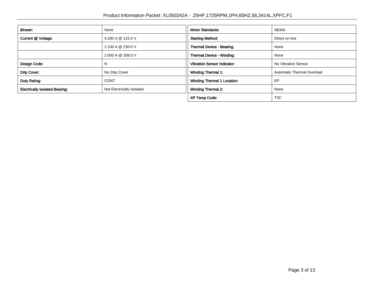| Blower:                               | None                      | <b>Motor Standards:</b>                                   | <b>NEMA</b>                |
|---------------------------------------|---------------------------|-----------------------------------------------------------|----------------------------|
|                                       |                           |                                                           |                            |
| Current @ Voltage:                    | 4.200 A @ 115.0 V         | <b>Starting Method:</b><br>Direct on line                 |                            |
|                                       | 2.100 A @ 230.0 V         | Thermal Device - Bearing:                                 | None                       |
|                                       | 2.000 A @ 208.0 V         | Thermal Device - Winding:                                 | None                       |
| Design Code:                          |                           | <b>Vibration Sensor Indicator:</b><br>No Vibration Sensor |                            |
| Drip Cover:                           | No Drip Cover             | <b>Winding Thermal 1:</b>                                 | Automatic Thermal Overload |
| Duty Rating:                          | <b>CONT</b>               | <b>Winding Thermal 1 Location:</b>                        | EP                         |
| <b>Electrically Isolated Bearing:</b> | Not Electrically Isolated | <b>Winding Thermal 2:</b>                                 | None                       |
|                                       |                           | <b>XP Temp Code:</b>                                      | T <sub>3</sub> C           |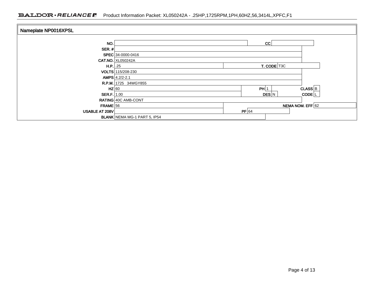# BALDOR · RELIANCE F Product Information Packet: XL050242A - .25HP,1725RPM,1PH,60HZ,56,3414L,XPFC,F1

| Nameplate NP0016XPSL |                                     |                            |
|----------------------|-------------------------------------|----------------------------|
| NO.                  |                                     | CC                         |
| SER. $#$             |                                     |                            |
|                      | SPEC 34-0000-0416                   |                            |
|                      | <b>CAT.NO. XL050242A</b>            |                            |
| H.P.   .25           |                                     | T. CODE T3C                |
|                      | VOLTS 115/208-230                   |                            |
|                      | $AMPS$ 4.2/2-2.1                    |                            |
|                      | R.P.M. 1725 34WGY855                |                            |
| $HZ$ 60              |                                     | $CLASS$ $B$<br>PH 1        |
| SER.F. 1.00          |                                     | DES N<br>CODE <sup>L</sup> |
|                      | RATING 40C AMB-CONT                 |                            |
| $FRAME$ 56           |                                     | NEMA NOM. EFF 62           |
| USABLE AT 208V       |                                     | $PF$ 64                    |
|                      | <b>BLANK NEMA MG-1 PART 5, IP54</b> |                            |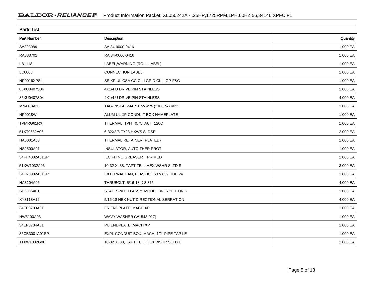| <b>Parts List</b>  |                                          |          |  |  |  |
|--------------------|------------------------------------------|----------|--|--|--|
| <b>Part Number</b> | Description                              | Quantity |  |  |  |
| SA393084           | SA 34-0000-0416                          | 1.000 EA |  |  |  |
| RA383702           | RA 34-0000-0416                          | 1.000 EA |  |  |  |
| LB1118             | LABEL, WARNING (ROLL LABEL)              | 1.000 EA |  |  |  |
| LC0008             | <b>CONNECTION LABEL</b>                  | 1.000 EA |  |  |  |
| NP0016XPSL         | SS XP UL CSA CC CL-I GP-D CL-II GP-F&G   | 1.000 EA |  |  |  |
| 85XU0407S04        | 4X1/4 U DRIVE PIN STAINLESS              | 2.000 EA |  |  |  |
| 85XU0407S04        | 4X1/4 U DRIVE PIN STAINLESS              | 4.000 EA |  |  |  |
| MN416A01           | TAG-INSTAL-MAINT no wire (2100/bx) 4/22  | 1.000 EA |  |  |  |
| NP0018W            | ALUM UL XP CONDUIT BOX NAMEPLATE         | 1.000 EA |  |  |  |
| TPMRG61RX          | THERMAL 1PH 0.75 AUT 120C                | 1.000 EA |  |  |  |
| 51XT0632A06        | 6-32X3/8 TY23 HXWS SLDSR                 | 2.000 EA |  |  |  |
| HA6001A03          | THERMAL RETAINER (PLATED)                | 1.000 EA |  |  |  |
| NS2500A01          | INSULATOR, AUTO THER PROT                | 1.000 EA |  |  |  |
| 34FH4002A01SP      | IEC FH NO GREASER PRIMED                 | 1.000 EA |  |  |  |
| 51XW1032A06        | 10-32 X .38, TAPTITE II, HEX WSHR SLTD S | 3.000 EA |  |  |  |
| 34FN3002A01SP      | EXTERNAL FAN, PLASTIC, .637/.639 HUB W/  | 1.000 EA |  |  |  |
| HA3104A05          | THRUBOLT, 5/16-18 X 8.375                | 4.000 EA |  |  |  |
| SP5036A01          | STAT. SWITCH ASSY. MODEL 34 TYPE L OR S  | 1.000 EA |  |  |  |
| XY3118A12          | 5/16-18 HEX NUT DIRECTIONAL SERRATION    | 4.000 EA |  |  |  |
| 34EP3703A01        | FR ENDPLATE, MACH XP                     | 1.000 EA |  |  |  |
| HW5100A03          | WAVY WASHER (W1543-017)                  | 1.000 EA |  |  |  |
| 34EP3704A01        | PU ENDPLATE, MACH XP                     | 1.000 EA |  |  |  |
| 35CB3001A01SP      | EXPL CONDUIT BOX, MACH, 1/2" PIPE TAP LE | 1.000 EA |  |  |  |
| 11XW1032G06        | 10-32 X .38, TAPTITE II, HEX WSHR SLTD U | 1.000 EA |  |  |  |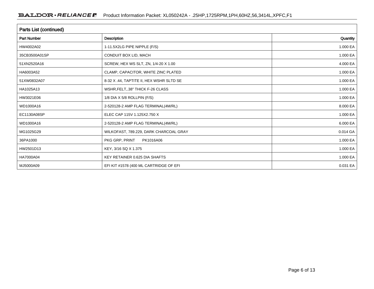| <b>Parts List (continued)</b> |                                          |            |  |  |  |
|-------------------------------|------------------------------------------|------------|--|--|--|
| <b>Part Number</b>            | Description                              | Quantity   |  |  |  |
| HW4002A02                     | 1-11.5X2LG PIPE NIPPLE (F/S)             | 1.000 EA   |  |  |  |
| 35CB3500A01SP                 | CONDUIT BOX LID, MACH                    | 1.000 EA   |  |  |  |
| 51XN2520A16                   | SCREW, HEX WS SLT, ZN, 1/4-20 X 1.00     | 4.000 EA   |  |  |  |
| HA6003A52                     | CLAMP, CAPACITOR, WHITE ZINC PLATED      | 1.000 EA   |  |  |  |
| 51XW0832A07                   | 8-32 X .44, TAPTITE II, HEX WSHR SLTD SE | 1.000 EA   |  |  |  |
| HA1025A13                     | WSHR, FELT38" THICK F-26 CLASS           | 1.000 EA   |  |  |  |
| HW3021E06                     | 1/8 DIA X 5/8 ROLLPIN (F/S)              | 1.000 EA   |  |  |  |
| WD1000A16                     | 2-520128-2 AMP FLAG TERMINAL(4M/RL)      | 8.000 EA   |  |  |  |
| EC1130A08SP                   | ELEC CAP 115V 1.125X2.750 X              | 1.000 EA   |  |  |  |
| WD1000A16                     | 2-520128-2 AMP FLAG TERMINAL(4M/RL)      | 6.000 EA   |  |  |  |
| MG1025G29                     | WILKOFAST, 789.229, DARK CHARCOAL GRAY   | 0.014 GA   |  |  |  |
| 36PA1000                      | PKG GRP, PRINT<br>PK1016A06              | 1.000 EA   |  |  |  |
| HW2501D13                     | KEY, 3/16 SQ X 1.375                     | 1.000 EA   |  |  |  |
| HA7000A04                     | KEY RETAINER 0.625 DIA SHAFTS            | 1.000 EA   |  |  |  |
| MJ5000A09                     | EFI KIT #1578 (400 ML CARTRIDGE OF EFI   | $0.031$ EA |  |  |  |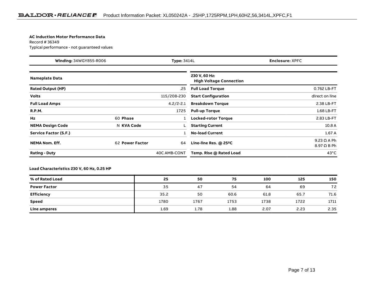#### **AC Induction Motor Performance Data**

#### Record # 36349Typical performance - not guaranteed values

| Winding: 34WGY855-R006<br>Type: 3414L |                 | <b>Enclosure: XPFC</b> |                                                 |                                   |
|---------------------------------------|-----------------|------------------------|-------------------------------------------------|-----------------------------------|
| <b>Nameplate Data</b>                 |                 |                        | 230 V, 60 Hz:<br><b>High Voltage Connection</b> |                                   |
| <b>Rated Output (HP)</b>              |                 | .25                    | <b>Full Load Torque</b>                         | 0.762 LB-FT                       |
| <b>Volts</b>                          |                 | 115/208-230            | <b>Start Configuration</b>                      | direct on line                    |
| <b>Full Load Amps</b>                 |                 | $4.2/2 - 2.1$          | <b>Breakdown Torque</b>                         | 2.38 LB-FT                        |
| <b>R.P.M.</b>                         |                 | 1725                   | <b>Pull-up Torque</b>                           | 1.68 LB-FT                        |
| Hz                                    | 60 Phase        |                        | Locked-rotor Torque                             | 2.83 LB-FT                        |
| <b>NEMA Design Code</b>               | N KVA Code      |                        | <b>Starting Current</b>                         | 10.8 A                            |
| Service Factor (S.F.)                 |                 |                        | <b>No-load Current</b>                          | 1.67A                             |
| <b>NEMA Nom. Eff.</b>                 | 62 Power Factor | 64                     | Line-line Res. @ 25°C                           | $9.23 \Omega$ A Ph<br>8.97 Ω B Ph |
| <b>Rating - Duty</b>                  |                 | 40C AMB-CONT           | Temp. Rise @ Rated Load                         | $43^{\circ}$ C                    |

### **Load Characteristics 230 V, 60 Hz, 0.25 HP**

| % of Rated Load     | 25   | 50   | 75   | 100  | 125  | 150  |
|---------------------|------|------|------|------|------|------|
| <b>Power Factor</b> | 35   | 47   | 54   | 64   | 69   | 72   |
| Efficiency          | 35.2 | 50   | 60.6 | 61.8 | 65.7 | 71.6 |
| <b>Speed</b>        | 1780 | 1767 | 1753 | 1738 | 1722 | 1711 |
| Line amperes        | 1.69 | 1.78 | 1.88 | 2.07 | 2.23 | 2.35 |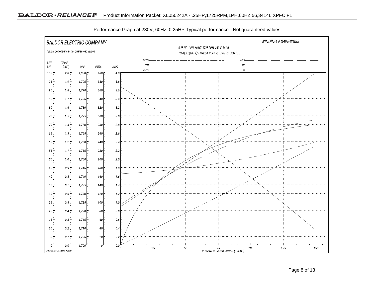

Performance Graph at 230V, 60Hz, 0.25HP Typical performance - Not guaranteed values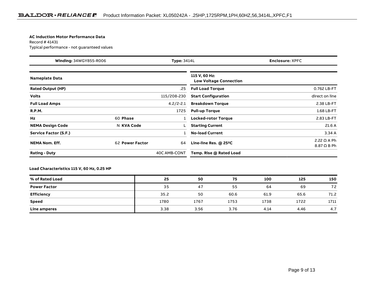#### **AC Induction Motor Performance Data**

Record # 41431Typical performance - not guaranteed values

| Winding: 34WGY855-R006<br><b>Type: 3414L</b> |                 | Enclosure: XPFC |                                                |                                   |
|----------------------------------------------|-----------------|-----------------|------------------------------------------------|-----------------------------------|
| <b>Nameplate Data</b>                        |                 |                 | 115 V, 60 Hz:<br><b>Low Voltage Connection</b> |                                   |
| <b>Rated Output (HP)</b>                     |                 | .25             | <b>Full Load Torque</b>                        | 0.762 LB-FT                       |
| <b>Volts</b>                                 |                 | 115/208-230     | <b>Start Configuration</b>                     | direct on line                    |
| <b>Full Load Amps</b>                        |                 | $4.2/2 - 2.1$   | <b>Breakdown Torque</b>                        | 2.38 LB-FT                        |
| <b>R.P.M.</b>                                |                 | 1725            | <b>Pull-up Torque</b>                          | 1.68 LB-FT                        |
| Hz                                           | 60 Phase        |                 | <b>Locked-rotor Torque</b>                     | 2.83 LB-FT                        |
| <b>NEMA Design Code</b>                      | N KVA Code      |                 | <b>Starting Current</b>                        | 21.6A                             |
| Service Factor (S.F.)                        |                 |                 | <b>No-load Current</b>                         | 3.34A                             |
| <b>NEMA Nom. Eff.</b>                        | 62 Power Factor | 64              | Line-line Res. @ 25°C                          | $2.22 \Omega$ A Ph<br>8.87 Ω B Ph |
| <b>Rating - Duty</b>                         |                 | 40C AMB-CONT    | Temp. Rise @ Rated Load                        |                                   |

### **Load Characteristics 115 V, 60 Hz, 0.25 HP**

| % of Rated Load     | 25   | 50   | 75   | 100  | 125  | 150  |
|---------------------|------|------|------|------|------|------|
| <b>Power Factor</b> | 35   | 47   | 55   | 64   | 69   | 72   |
| <b>Efficiency</b>   | 35.2 | 50   | 60.6 | 61.9 | 65.6 | 71.2 |
| <b>Speed</b>        | 1780 | 1767 | 1753 | 1738 | 1722 | 1711 |
| Line amperes        | 3.38 | 3.56 | 3.76 | 4.14 | 4.46 | 4.7  |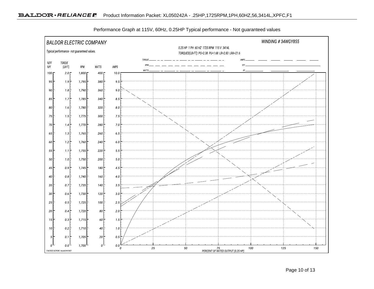

Performance Graph at 115V, 60Hz, 0.25HP Typical performance - Not guaranteed values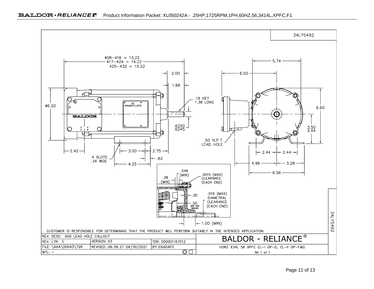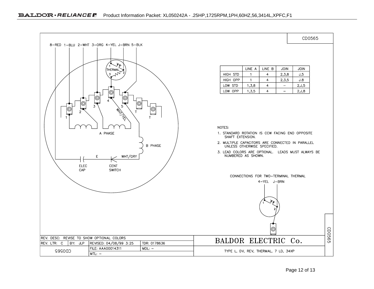